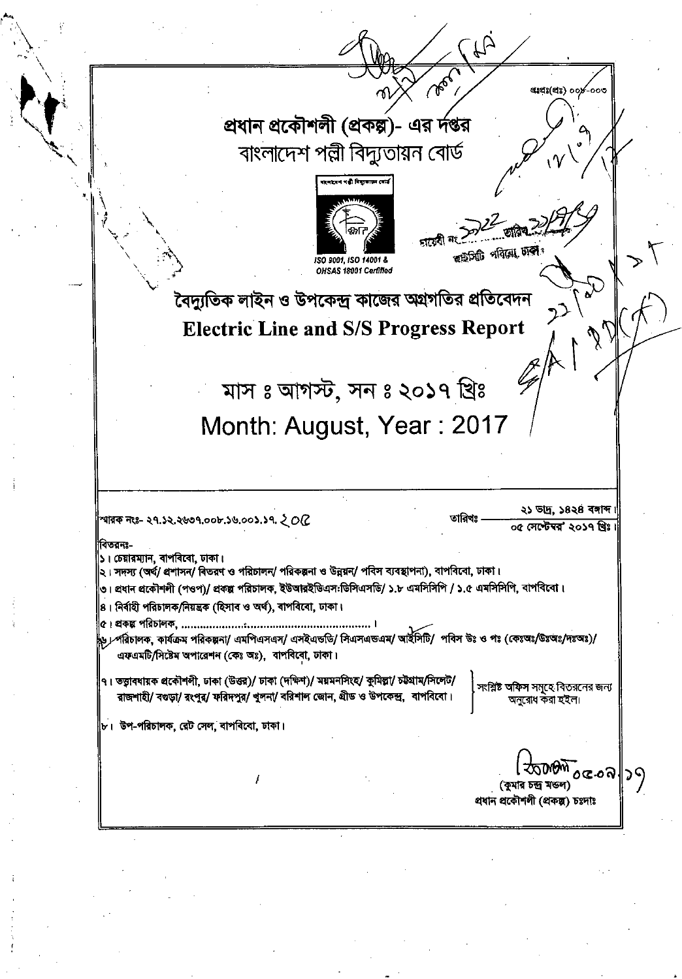| Q                                                                                                                                                                                                                                                                                                                                                     |  |
|-------------------------------------------------------------------------------------------------------------------------------------------------------------------------------------------------------------------------------------------------------------------------------------------------------------------------------------------------------|--|
| <b>260</b><br>ettets(ets) oox-ooo                                                                                                                                                                                                                                                                                                                     |  |
| প্রধান প্রকৌশলী (প্রকল্প)- এর র্দপ্তর                                                                                                                                                                                                                                                                                                                 |  |
| $\sqrt{2}$<br>বাংলাদেশ পল্লী বিদ্যুতায়ন বোর্ড                                                                                                                                                                                                                                                                                                        |  |
| रा नाजन पहाँ विद्युत्वापन (व                                                                                                                                                                                                                                                                                                                          |  |
| ত্ম চিটি পৰিয়ে চাক<br>ISO 9001, ISO 14001 &<br>OHSAS 18001 Certified                                                                                                                                                                                                                                                                                 |  |
| বৈদ্যুতিক লাইন ও উপকেন্দ্র কাজের অগ্রগতির প্রতিবেদন                                                                                                                                                                                                                                                                                                   |  |
| <b>Electric Line and S/S Progress Report</b>                                                                                                                                                                                                                                                                                                          |  |
| মাস ঃ আগস্ট, সন ঃ ২০১৭ খ্রিঃ                                                                                                                                                                                                                                                                                                                          |  |
| Month: August, Year: 2017                                                                                                                                                                                                                                                                                                                             |  |
|                                                                                                                                                                                                                                                                                                                                                       |  |
| ২১ ভাদ্র, ১৪২৪ বসাব্দ।<br>তারিখঃ<br>স্মারক নংঃ- ২৭.১২.২৬৩৭.০০৮.১৬.০০১.১৭. ২ O(Z                                                                                                                                                                                                                                                                       |  |
| ০৫ সেপ্টেম্বর" ২০১৭ খ্রিঃ।<br>বিতরনঃ-<br>১। চেয়ারম্যান, বাপবিবো, ঢাকা।<br>২। সদস্য (অর্থ/ প্রশাসন/ বিতরণ ও পরিচালন/ পরিকল্পনা ও উন্নয়ন/ পবিস ব্যবস্থাপনা), বাপবিবো, ঢাকা।<br> ৩। প্রধান প্রকৌশলী (পওপ)/ প্রকল্প পরিচালক, ইউআরইডিএস:ডিসিএসডি/ ১.৮ এমসিসিপি / ১.৫ এমসিসিপি, বাপবিবো।<br>8। নিৰ্বাহী পরিচালক/নিয়ন্ত্রক (হিসাব ও অর্থ), বাপবিবো, ঢাকা। |  |
| ৬ / পরিচালক, কার্যক্রম পরিকল্পনা/ এমপিএসএস/ এসইএন্ডডি/ সিএসএন্ডএম/ আইসিটি/  পবিস উঃ ও পঃ (কেঃঅঃ/উঃঅঃ/দঃঅঃ)/<br>এফএমটি/সিষ্টেম অপারেশন (কেঃ অঃ), বাপবিবো, ঢাকা।                                                                                                                                                                                        |  |
| ৭। তত্ত্বাবধায়ক প্রকৌশলী, ঢাকা (উত্তর)/ ঢাকা (দক্ষিণ)/ ময়মনসিংহ/ কুমিল্লা/ চট্টগ্রাম/সিলেট/<br>সংশ্লিষ্ট অফিস সমূহে বিতরনের জন্য<br>রাজশাহী/ বগুড়া/ রংপুর/ ফরিদপুর/ খুলনা/ বরিশাল জোন, গ্রীড ও উপকেন্দ্র, বাপবিবো।<br>অনুরোধ করা হইল।                                                                                                              |  |
| $ $ ৮। উপ-পরিচালক, রেট সেল, বাপবিবো, ঢাকা।                                                                                                                                                                                                                                                                                                            |  |
| <i><b>ঠ্যাঞ্চী oc.oa∥</b></i> วๆ<br>(কুমার চন্দ্র মন্ডল)<br>প্ৰধান প্ৰকৌশলী (প্ৰকল্প) চঃদাঃ                                                                                                                                                                                                                                                           |  |
|                                                                                                                                                                                                                                                                                                                                                       |  |

 $\label{eq:2.1} \mathcal{L}_{\mathcal{A}}(x,y) = \mathcal{L}_{\mathcal{A}}(x,y) \mathcal{L}_{\mathcal{A}}(x,y) + \mathcal{L}_{\mathcal{A}}(x,y) \mathcal{L}_{\mathcal{A}}(x,y) + \mathcal{L}_{\mathcal{A}}(x,y) \mathcal{L}_{\mathcal{A}}(x,y)$ 

 $\label{eq:2.1} \frac{1}{\sqrt{2}}\sum_{i=1}^n\frac{1}{\sqrt{2}}\sum_{i=1}^n\frac{1}{\sqrt{2}}\sum_{i=1}^n\frac{1}{\sqrt{2}}\sum_{i=1}^n\frac{1}{\sqrt{2}}\sum_{i=1}^n\frac{1}{\sqrt{2}}\sum_{i=1}^n\frac{1}{\sqrt{2}}\sum_{i=1}^n\frac{1}{\sqrt{2}}\sum_{i=1}^n\frac{1}{\sqrt{2}}\sum_{i=1}^n\frac{1}{\sqrt{2}}\sum_{i=1}^n\frac{1}{\sqrt{2}}\sum_{i=1}^n\frac$ 

 $\sim 400$  km s  $^{-1}$